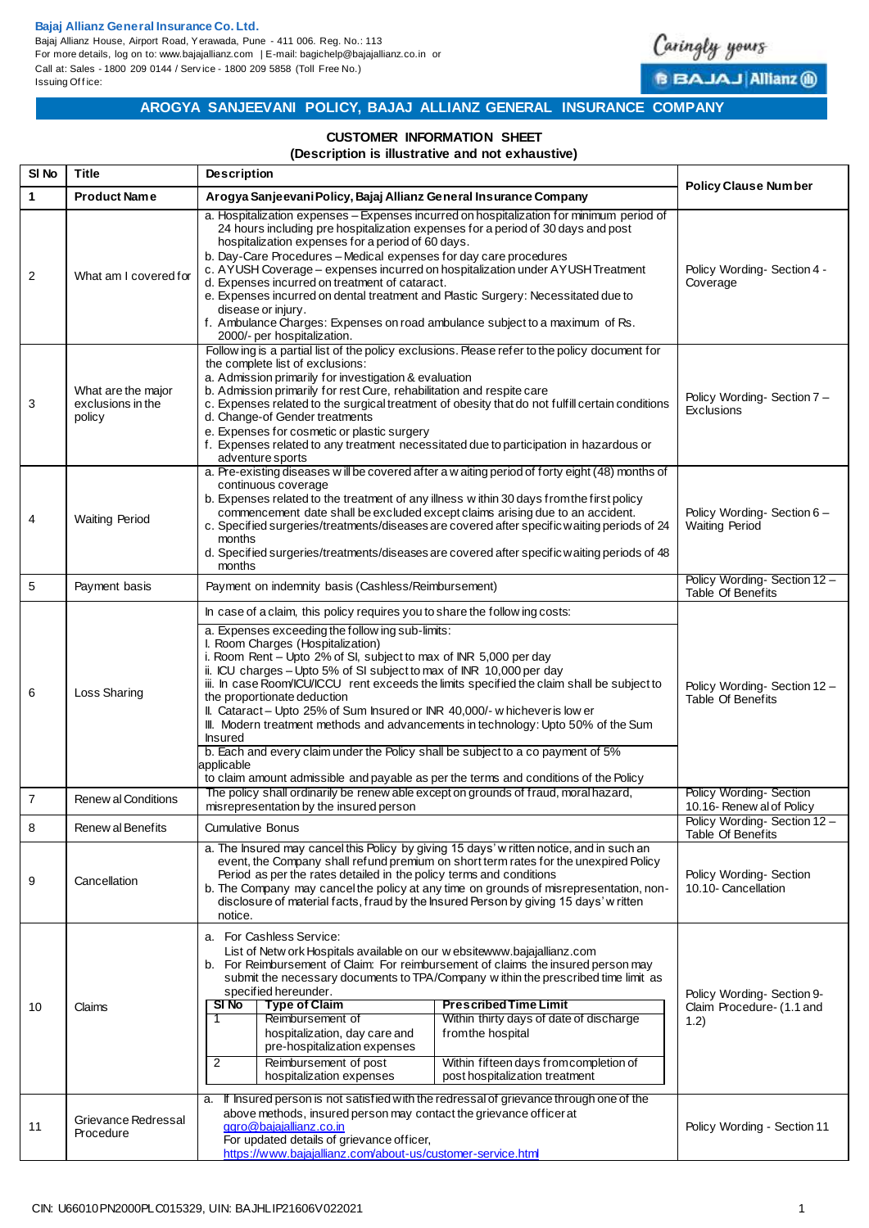## **Bajaj Allianz General Insurance Co. Ltd.**

Bajaj Allianz House, Airport Road, Yerawada, Pune - 411 006. Reg. No.: 113 For more details, log on to: www.bajajallianz.com | E-mail: bagichelp@bajajallianz.co.in or Call at: Sales - 1800 209 0144 / Serv ice - 1800 209 5858 (Toll Free No.) Issuing Office:



**B BAJAJ Allianz ®** 

## **AROGYA SANJEEVANI POLICY, BAJAJ ALLIANZ GENERAL INSURANCE COMPANY**

## **CUSTOMER INFORMATION SHEET**

#### **(Description is illustrative and not exhaustive)**

| SI <sub>No</sub> | <b>Title</b>                                      | <b>Description</b>                                                                                                                                                                                                                                                                                                                                                                                                                                                                                                                                                                                                                                                                                                                                                                                                            | <b>Policy Clause Number</b>                                    |  |
|------------------|---------------------------------------------------|-------------------------------------------------------------------------------------------------------------------------------------------------------------------------------------------------------------------------------------------------------------------------------------------------------------------------------------------------------------------------------------------------------------------------------------------------------------------------------------------------------------------------------------------------------------------------------------------------------------------------------------------------------------------------------------------------------------------------------------------------------------------------------------------------------------------------------|----------------------------------------------------------------|--|
| 1                | <b>Product Name</b>                               | Arogya Sanjeevani Policy, Bajaj Allianz General Insurance Company                                                                                                                                                                                                                                                                                                                                                                                                                                                                                                                                                                                                                                                                                                                                                             |                                                                |  |
| 2                | What am I covered for                             | a. Hospitalization expenses – Expenses incurred on hospitalization for minimum period of<br>24 hours including pre hospitalization expenses for a period of 30 days and post<br>hospitalization expenses for a period of 60 days.<br>b. Day-Care Procedures - Medical expenses for day care procedures<br>c. AYUSH Coverage - expenses incurred on hospitalization under AYUSH Treatment<br>d. Expenses incurred on treatment of cataract.<br>e. Expenses incurred on dental treatment and Plastic Surgery: Necessitated due to<br>disease or injury.<br>f. Ambulance Charges: Expenses on road ambulance subject to a maximum of Rs.<br>2000/- per hospitalization.                                                                                                                                                          | Policy Wording-Section 4 -<br>Coverage                         |  |
| 3                | What are the major<br>exclusions in the<br>policy | Follow ing is a partial list of the policy exclusions. Please refer to the policy document for<br>the complete list of exclusions:<br>a. Admission primarily for investigation & evaluation<br>b. Admission primarily for rest Cure, rehabilitation and respite care<br>c. Expenses related to the surgical treatment of obesity that do not fulfill certain conditions<br>d. Change-of Gender treatments<br>e. Expenses for cosmetic or plastic surgery<br>f. Expenses related to any treatment necessitated due to participation in hazardous or<br>adventure sports                                                                                                                                                                                                                                                        | Policy Wording-Section 7-<br>Exclusions                        |  |
| 4                | <b>Waiting Period</b>                             | a. Pre-existing diseases will be covered after a w aiting period of forty eight (48) months of<br>continuous coverage<br>b. Expenses related to the treatment of any illness within 30 days from the first policy<br>commencement date shall be excluded except claims arising due to an accident.<br>c. Specified surgeries/treatments/diseases are covered after specific waiting periods of 24<br>months<br>d. Specified surgeries/treatments/diseases are covered after specific waiting periods of 48<br>months                                                                                                                                                                                                                                                                                                          | Policy Wording-Section 6-<br><b>Waiting Period</b>             |  |
| 5                | Payment basis                                     | Payment on indemnity basis (Cashless/Reimbursement)                                                                                                                                                                                                                                                                                                                                                                                                                                                                                                                                                                                                                                                                                                                                                                           | Policy Wording-Section 12-<br>Table Of Benefits                |  |
| 6                | Loss Sharing                                      | In case of a claim, this policy requires you to share the follow ing costs:<br>a. Expenses exceeding the follow ing sub-limits:<br>I. Room Charges (Hospitalization)<br>i. Room Rent - Upto 2% of SI, subject to max of INR 5,000 per day<br>ii. ICU charges - Upto 5% of SI subject to max of INR 10,000 per day<br>iii. In case Room/ICU/ICCU rent exceeds the limits specified the claim shall be subject to<br>the proportionate deduction<br>II. Cataract - Upto 25% of Sum Insured or INR 40,000/- w hichever is low er<br>III. Modern treatment methods and advancements in technology: Upto 50% of the Sum<br><b>Insured</b><br>b. Each and every claim under the Policy shall be subject to a co payment of 5%<br>applicable<br>to claim amount admissible and payable as per the terms and conditions of the Policy | Policy Wording-Section 12-<br>Table Of Benefits                |  |
| $\overline{7}$   | <b>Renew al Conditions</b>                        | The policy shall ordinarily be renew able except on grounds of fraud, moral hazard,<br>misrepresentation by the insured person                                                                                                                                                                                                                                                                                                                                                                                                                                                                                                                                                                                                                                                                                                | <b>Policy Wording-Section</b><br>10.16- Renew al of Policy     |  |
| 8                | Renew al Benefits                                 | <b>Cumulative Bonus</b>                                                                                                                                                                                                                                                                                                                                                                                                                                                                                                                                                                                                                                                                                                                                                                                                       | Policy Wording-Section 12 -<br>Table Of Benefits               |  |
| 9                | Cancellation                                      | a. The Insured may cancel this Policy by giving 15 days' w ritten notice, and in such an<br>event, the Company shall refund premium on short term rates for the unexpired Policy<br>Period as per the rates detailed in the policy terms and conditions<br>b. The Company may cancel the policy at any time on grounds of misrepresentation, non-<br>disclosure of material facts, fraud by the Insured Person by giving 15 days' w ritten<br>notice.                                                                                                                                                                                                                                                                                                                                                                         | Policy Wording-Section<br>10.10- Cancellation                  |  |
| 10               | Claims                                            | a. For Cashless Service:<br>List of Netw ork Hospitals available on our w ebsitewww.bajajallianz.com<br>b. For Reimbursement of Claim: For reimbursement of claims the insured person may<br>submit the necessary documents to TPA/Company w ithin the prescribed time limit as<br>specified hereunder.<br>SI No<br><b>Type of Claim</b><br><b>Prescribed Time Limit</b><br>Reimbursement of<br>Within thirty days of date of discharge<br>1<br>hospitalization, day care and<br>from the hospital<br>pre-hospitalization expenses<br>Reimbursement of post<br>Within fifteen days from completion of<br>2<br>hospitalization expenses<br>post hospitalization treatment                                                                                                                                                      | Policy Wording-Section 9-<br>Claim Procedure- (1.1 and<br>1.2) |  |
| 11               | Grievance Redressal<br>Procedure                  | If Insured person is not satisfied with the redressal of grievance through one of the<br>a.<br>above methods, insured person may contact the grievance officer at<br>ggro@bajajallianz.co.in<br>For updated details of grievance officer,<br>https://www.bajajallianz.com/about-us/customer-service.html                                                                                                                                                                                                                                                                                                                                                                                                                                                                                                                      | Policy Wording - Section 11                                    |  |